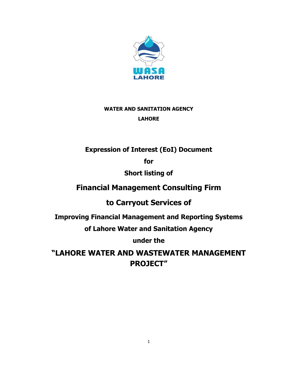

# **WATER AND SANITATION AGENCY LAHORE**

# **Expression of Interest (EoI) Document**

**for**

# **Short listing of**

# **Financial Management Consulting Firm**

**to Carryout Services of** 

**Improving Financial Management and Reporting Systems** 

**of Lahore Water and Sanitation Agency** 

**under the** 

**"LAHORE WATER AND WASTEWATER MANAGEMENT PROJECT"**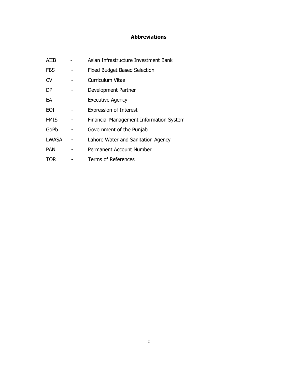## **Abbreviations**

| AIIB         | Asian Infrastructure Investment Bank    |
|--------------|-----------------------------------------|
| <b>FBS</b>   | <b>Fixed Budget Based Selection</b>     |
| <b>CV</b>    | <b>Curriculum Vitae</b>                 |
| DP           | Development Partner                     |
| EА           | <b>Executive Agency</b>                 |
| EOI          | <b>Expression of Interest</b>           |
| <b>FMIS</b>  | Financial Management Information System |
| GoPb         | Government of the Punjab                |
| <b>LWASA</b> | Lahore Water and Sanitation Agency      |
| <b>PAN</b>   | Permanent Account Number                |
| TOR          | <b>Terms of References</b>              |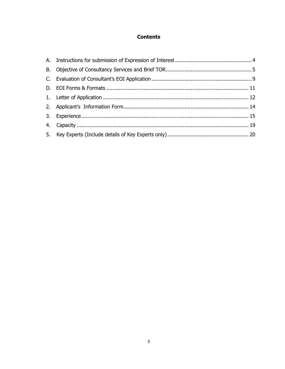## **Contents**

<span id="page-2-0"></span>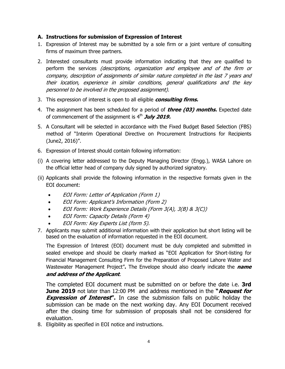#### **A. Instructions for submission of Expression of Interest**

- 1. Expression of Interest may be submitted by a sole firm or a joint venture of consulting firms of maximum three partners.
- 2. Interested consultants must provide information indicating that they are qualified to perform the services (descriptions, organization and employee and of the firm or company, description of assignments of similar nature completed in the last 7 years and their location, experience in similar conditions, general qualifications and the key personnel to be involved in the proposed assignment).
- 3. This expression of interest is open to all eligible **consulting firms.**
- 4. The assignment has been scheduled for a period of **three (03) months.** Expected date of commencement of the assignment is 4 th **July 2019.**
- 5. A Consultant will be selected in accordance with the Fixed Budget Based Selection (FBS) method of "Interim Operational Directive on Procurement Instructions for Recipients (June2, 2016)".
- 6. Expression of Interest should contain following information:
- (i) A covering letter addressed to the Deputy Managing Director (Engg.), WASA Lahore on the official letter head of company duly signed by authorized signatory.
- (ii) Applicants shall provide the following information in the respective formats given in the EOI document:
	- EOI Form: Letter of Application (Form 1)
	- EOI Form: Applicant's Information (Form 2)
	- EOI Form: Work Experience Details (Form 3(A), 3(B) & 3(C))
	- EOI Form: Capacity Details (Form 4)
	- EOI Form: Key Experts List (form 5).
- 7. Applicants may submit additional information with their application but short listing will be based on the evaluation of information requested in the EOI document.

The Expression of Interest (EOI) document must be duly completed and submitted in sealed envelope and should be clearly marked as "EOI Application for Short-listing for Financial Management Consulting Firm for the Preparation of Proposed Lahore Water and Wastewater Management Project"**.** The Envelope should also clearly indicate the **name and address of the Applicant**.

The completed EOI document must be submitted on or before the date i.e. **3rd June 2019** not later than 12:00 PM and address mentioned in the **"Request for Expression of Interest".** In case the submission falls on public holiday the submission can be made on the next working day. Any EOI Document received after the closing time for submission of proposals shall not be considered for evaluation.

8. Eligibility as specified in EOI notice and instructions.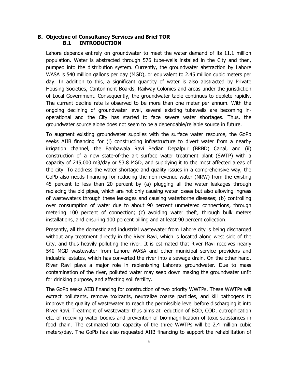#### <span id="page-4-0"></span>**B. Objective of Consultancy Services and Brief TOR B.1 INTRODUCTION**

Lahore depends entirely on groundwater to meet the water demand of its 11.1 million population. Water is abstracted through 576 tube-wells installed in the City and then, pumped into the distribution system. Currently, the groundwater abstraction by Lahore WASA is 540 million gallons per day (MGD), or equivalent to 2.45 million cubic meters per day. In addition to this, a significant quantity of water is also abstracted by Private Housing Societies, Cantonment Boards, Railway Colonies and areas under the jurisdiction of Local Government. Consequently, the groundwater table continues to deplete rapidly. The current decline rate is observed to be more than one meter per annum. With the ongoing declining of groundwater level, several existing tubewells are becoming inoperational and the City has started to face severe water shortages. Thus, the groundwater source alone does not seem to be a dependable/reliable source in future.

To augment existing groundwater supplies with the surface water resource, the GoPb seeks AIIB financing for (i) constructing infrastructure to divert water from a nearby irrigation channel, the Banbawala Ravi Bedian Depalpur (BRBD) Canal, and (ii) construction of a new state-of-the art surface water treatment plant (SWTP) with a capacity of 245,000 m3/day or 53.8 MGD, and supplying it to the most affected areas of the city. To address the water shortage and quality issues in a comprehensive way, the GoPb also needs financing for reducing the non-revenue water (NRW) from the existing 45 percent to less than 20 percent by (a) plugging all the water leakages through replacing the old pipes, which are not only causing water losses but also allowing ingress of wastewaters through these leakages and causing waterborne diseases; (b) controlling over consumption of water due to about 90 percent unmetered connections, through metering 100 percent of connection; (c) avoiding water theft, through bulk meters installations, and ensuring 100 percent billing and at least 90 percent collection.

Presently, all the domestic and industrial wastewater from Lahore city is being discharged without any treatment directly in the River Ravi, which is located along west side of the City, and thus heavily polluting the river. It is estimated that River Ravi receives nearly 540 MGD wastewater from Lahore WASA and other municipal service providers and industrial estates, which has converted the river into a sewage drain. On the other hand, River Ravi plays a major role in replenishing Lahore's groundwater. Due to mass contamination of the river, polluted water may seep down making the groundwater unfit for drinking purpose, and affecting soil fertility.

The GoPb seeks AIIB financing for construction of two priority WWTPs. These WWTPs will extract pollutants, remove toxicants, neutralize coarse particles, and kill pathogens to improve the quality of wastewater to reach the permissible level before discharging it into River Ravi. Treatment of wastewater thus aims at reduction of BOD, COD, eutrophication etc. of receiving water bodies and prevention of bio-magnification of toxic substances in food chain. The estimated total capacity of the three WWTPs will be 2.4 million cubic meters/day. The GoPb has also requested AIIB financing to support the rehabilitation of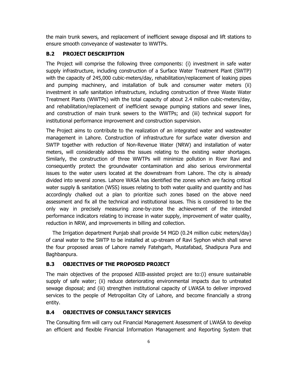the main trunk sewers, and replacement of inefficient sewage disposal and lift stations to ensure smooth conveyance of wastewater to WWTPs.

## **B.2 PROJECT DESCRIPTION**

The Project will comprise the following three components: (i) investment in safe water supply infrastructure, including construction of a Surface Water Treatment Plant (SWTP) with the capacity of 245,000 cubic-meters/day, rehabilitation/replacement of leaking pipes and pumping machinery, and installation of bulk and consumer water meters (ii) investment in safe sanitation infrastructure, including construction of three Waste Water Treatment Plants (WWTPs) with the total capacity of about 2.4 million cubic-meters/day, and rehabilitation/replacement of inefficient sewage pumping stations and sewer lines, and construction of main trunk sewers to the WWTPs; and (iii) technical support for institutional performance improvement and construction supervision.

The Project aims to contribute to the realization of an integrated water and wastewater management in Lahore. Construction of infrastructure for surface water diversion and SWTP together with reduction of Non-Revenue Water (NRW) and installation of water meters, will considerably address the issues relating to the existing water shortages. Similarly, the construction of three WWTPs will minimize pollution in River Ravi and consequently protect the groundwater contamination and also serious environmental issues to the water users located at the downstream from Lahore. The city is already divided into several zones. Lahore WASA has identified the zones which are facing critical water supply & sanitation (WSS) issues relating to both water quality and quantity and has accordingly chalked out a plan to prioritize such zones based on the above need assessment and fix all the technical and institutional issues. This is considered to be the only way in precisely measuring zone-by-zone the achievement of the intended performance indicators relating to increase in water supply, improvement of water quality, reduction in NRW, and improvements in billing and collection.

 The Irrigation department Punjab shall provide 54 MGD (0.24 million cubic meters/day) of canal water to the SWTP to be installed at up-stream of Ravi Syphon which shall serve the four proposed areas of Lahore namely Fatehgarh, Mustafabad, Shadipura Pura and Baghbanpura.

## **B.3 OBJECTIVES OF THE PROPOSED PROJECT**

The main objectives of the proposed AIIB-assisted project are to:(i) ensure sustainable supply of safe water; (ii) reduce deteriorating environmental impacts due to untreated sewage disposal; and (iii) strengthen institutional capacity of LWASA to deliver improved services to the people of Metropolitan City of Lahore, and become financially a strong entity.

### **B.4 OBJECTIVES OF CONSULTANCY SERVICES**

The Consulting firm will carry out Financial Management Assessment of LWASA to develop an efficient and flexible Financial Information Management and Reporting System that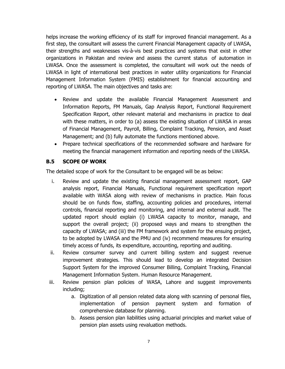helps increase the working efficiency of its staff for improved financial management. As a first step, the consultant will assess the current Financial Management capacity of LWASA, their strengths and weaknesses vis-à-vis best practices and systems that exist in other organizations in Pakistan and review and assess the current status of automation in LWASA. Once the assessment is completed, the consultant will work out the needs of LWASA in light of international best practices in water utility organizations for Financial Management Information System (FMIS) establishment for financial accounting and reporting of LWASA. The main objectives and tasks are:

- Review and update the available Financial Management Assessment and Information Reports, FM Manuals, Gap Analysis Report, Functional Requirement Specification Report, other relevant material and mechanisms in practice to deal with these matters, in order to (a) assess the existing situation of LWASA in areas of Financial Management, Payroll, Billing, Complaint Tracking, Pension, and Asset Management; and (b) fully automate the functions mentioned above.
- Prepare technical specifications of the recommended software and hardware for meeting the financial management information and reporting needs of the LWASA.

### **B.5 SCOPE OF WORK**

The detailed scope of work for the Consultant to be engaged will be as below:

- i. Review and update the existing financial management assessment report, GAP analysis report, Financial Manuals, Functional requirement specification report available with WASA along with review of mechanisms in practice. Main focus should be on funds flow, staffing, accounting policies and procedures, internal controls, financial reporting and monitoring, and internal and external audit. The updated report should explain (i) LWASA capacity to monitor, manage, and support the overall project; (ii) proposed ways and means to strengthen the capacity of LWASA; and (iii) the FM framework and system for the ensuing project, to be adopted by LWASA and the PMU and (iv) recommend measures for ensuring timely access of funds, its expenditure, accounting, reporting and auditing.
- ii. Review consumer survey and current billing system and suggest revenue improvement strategies. This should lead to develop an integrated Decision Support System for the improved Consumer Billing, Complaint Tracking, Financial Management Information System. Human Resource Management.
- iii. Review pension plan policies of WASA, Lahore and suggest improvements including;
	- a. Digitization of all pension related data along with scanning of personal files, implementation of pension payment system and formation of comprehensive database for planning.
	- b. Assess pension plan liabilities using actuarial principles and market value of pension plan assets using revaluation methods.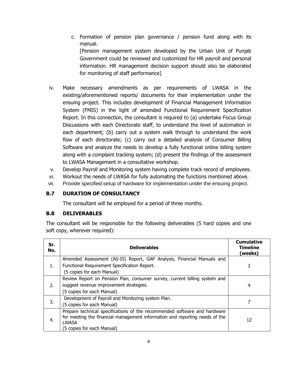- c. Formation of pension plan governance / pension fund along with its manual. [Pension management system developed by the Urban Unit of Punjab Government could be reviewed and customized for HR payroll and personal information. HR management decision support should also be elaborated for monitoring of staff performance]
- iv. Make necessary amendments as per requirements of LWASA in the existing/aforementioned reports/ documents for their implementation under the ensuing project. This includes development of Financial Management Information System (FMIS) in the light of amended Functional Requirement Specification Report. In this connection, the consultant is required to (a) undertake Focus Group Discussions with each Directorate staff, to understand the level of automation in each department; (b) carry out a system walk through to understand the work flow of each directorate; (c) carry out a detailed analysis of Consumer Billing Software and analyze the needs to develop a fully functional online billing system along with a complaint tracking system; (d) present the findings of the assessment to LWASA Management in a consultative workshop.
- v. Develop Payroll and Monitoring system having complete track record of employees.
- vi. Workout the needs of LWASA for fully automating the functions mentioned above.
- vii. Provide specified setup of hardware for implementation under the ensuing project.

#### **B.7 DURATION OF CONSULTANCY**

The consultant will be employed for a period of three months.

#### **B.8 DELIVERABLES**

The consultant will be responsible for the following deliverables (5 hard copies and one soft copy, wherever required):

| Sr.<br>No. | <b>Deliverables</b>                                                         | <b>Cumulative</b><br><b>Timeline</b><br>(weeks) |
|------------|-----------------------------------------------------------------------------|-------------------------------------------------|
|            | Amended Assessment (AS-IS) Report, GAP Analysis, Financial Manuals and      |                                                 |
| 1.         | Functional Requirement Specification Report.                                | 2                                               |
|            | (5 copies for each Manual)                                                  |                                                 |
|            | Review Report on Pension Plan, consumer survey, current billing system and  |                                                 |
| 2.         | suggest revenue improvement strategies.                                     | 4                                               |
|            | (5 copies for each Manual)                                                  |                                                 |
|            | Development of Payroll and Monitoring system Plan.                          |                                                 |
| 3.         | (5 copies for each Manual)                                                  |                                                 |
|            | Prepare technical specifications of the recommended software and hardware   |                                                 |
| 4.         | for meeting the financial management information and reporting needs of the | 12                                              |
|            | <b>LWASA</b>                                                                |                                                 |
|            | (5 copies for each Manual)                                                  |                                                 |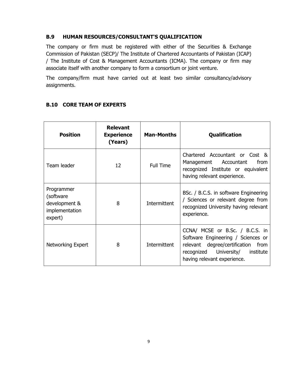#### **B.9 HUMAN RESOURCES/CONSULTANT'S QUALIFICATION**

The company or firm must be registered with either of the Securities & Exchange Commission of Pakistan (SECP)/ The Institute of Chartered Accountants of Pakistan (ICAP) / The Institute of Cost & Management Accountants (ICMA). The company or firm may associate itself with another company to form a consortium or joint venture.

The company/firm must have carried out at least two similar consultancy/advisory assignments.

| <b>Position</b>                                                        | <b>Relevant</b><br><b>Experience</b><br>(Years) | <b>Man-Months</b> | <b>Qualification</b>                                                                                                                                                                 |
|------------------------------------------------------------------------|-------------------------------------------------|-------------------|--------------------------------------------------------------------------------------------------------------------------------------------------------------------------------------|
| Team leader                                                            | 12                                              | <b>Full Time</b>  | Chartered Accountant or Cost &<br>Management Accountant<br>from<br>recognized Institute or equivalent<br>having relevant experience.                                                 |
| Programmer<br>(software)<br>development &<br>implementation<br>expert) | 8                                               | Intermittent      | BSc. / B.C.S. in software Engineering<br>/ Sciences or relevant degree from<br>recognized University having relevant<br>experience.                                                  |
| Networking Expert                                                      | 8                                               | Intermittent      | CCNA/ MCSE or B.Sc. / B.C.S. in<br>Software Engineering / Sciences or<br>relevant degree/certification<br>from<br>recognized University/<br>institute<br>having relevant experience. |

### **B.10 CORE TEAM OF EXPERTS**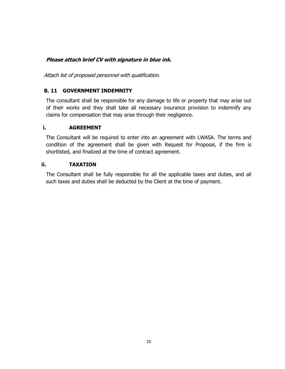## <span id="page-9-0"></span>**Please attach brief CV with signature in blue ink.**

Attach list of proposed personnel with qualification.

### **B. 11 GOVERNMENT INDEMNITY**

The consultant shall be responsible for any damage to life or property that may arise out of their works and they shall take all necessary insurance provision to indemnify any claims for compensation that may arise through their negligence.

#### **i. AGREEMENT**

The Consultant will be required to enter into an agreement with LWASA. The terms and condition of the agreement shall be given with Request for Proposal, if the firm is shortlisted, and finalized at the time of contract agreement.

#### **ii. TAXATION**

The Consultant shall be fully responsible for all the applicable taxes and duties, and all such taxes and duties shall be deducted by the Client at the time of payment.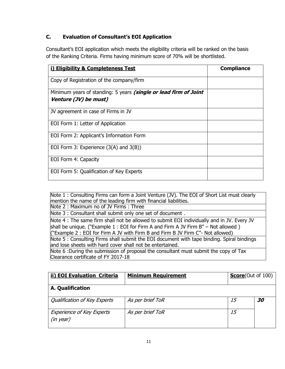## **C. Evaluation of Consultant's EOI Application**

Consultant's EOI application which meets the eligibility criteria will be ranked on the basis of the Ranking Criteria. Firms having minimum score of 70% will be shortlisted.

| i) Eligibility & Completeness Test                                                        | <b>Compliance</b> |
|-------------------------------------------------------------------------------------------|-------------------|
| Copy of Registration of the company/firm                                                  |                   |
| Minimum years of standing: 5 years (single or lead firm of Joint<br>Venture (JV) be must) |                   |
| JV agreement in case of Firms in JV                                                       |                   |
| EOI Form 1: Letter of Application                                                         |                   |
| EOI Form 2: Applicant's Information Form                                                  |                   |
| EOI Form 3: Experience $(3(A)$ and $3(B))$                                                |                   |
| EOI Form 4: Capacity                                                                      |                   |
| EOI Form 5: Qualification of Key Experts                                                  |                   |

Note 1 : Consulting Firms can form a Joint Venture (JV). The EOI of Short List must clearly mention the name of the leading firm with financial liabilities.

Note 2 : Maximum no of JV Firms : Three

Note 3 : Consultant shall submit only one set of document .

Note 4 : The same firm shall not be allowed to submit EOI individually and in JV. Every JV shall be unique. ("Example 1 : EOI for Firm A and Firm A JV Firm B" – Not allowed ) ("Example 2 : EOI for Firm A JV with Firm B and Firm B JV Firm C"- Not allowed) Note 5 : Consulting Firms shall submit the EOI document with tape binding. Spiral bindings and lose sheets with hard cover shall not be entertained. Note 6 :During the submission of proposal the consultant must submit the copy of Tax

Clearance certificate of FY 2017-18

| <b>ii) EOI Evaluation Criteria</b>                 | <b>Minimum Requirement</b> | <b>Score</b> (Out of 100) |                  |
|----------------------------------------------------|----------------------------|---------------------------|------------------|
| A. Qualification                                   |                            |                           |                  |
| <b>Qualification of Key Experts</b>                | As per brief ToR           | 15                        | <i><b>30</b></i> |
| <b>Experience of Key Experts</b><br>$(in \, year)$ | As per brief ToR           | 15                        |                  |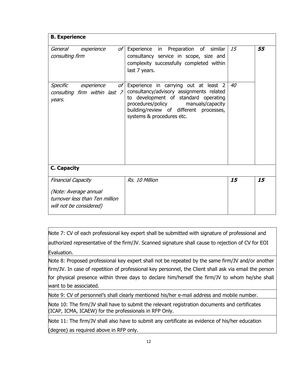| <b>B.</b> Experience                                                               |                                                                                                                                                                                                                                            |    |    |  |  |
|------------------------------------------------------------------------------------|--------------------------------------------------------------------------------------------------------------------------------------------------------------------------------------------------------------------------------------------|----|----|--|--|
| General<br>of l<br>experience<br>consulting firm                                   | Experience in Preparation of similar<br>consultancy service in scope, size and<br>complexity successfully completed within<br>last 7 years.                                                                                                | 15 | 55 |  |  |
| Specific<br>experience<br>of I<br>consulting firm within last 7<br>years.          | Experience in carrying out at least 2<br>consultancy/advisory assignments related<br>to development of standard operating<br>procedures/policy<br>manuals/capacity<br>building/review of different processes,<br>systems & procedures etc. | 40 |    |  |  |
| C. Capacity                                                                        |                                                                                                                                                                                                                                            |    |    |  |  |
| <b>Financial Capacity</b>                                                          | Rs. 10 Million                                                                                                                                                                                                                             | 15 | 15 |  |  |
| (Note: Average annual<br>turnover less than Ten million<br>will not be considered) |                                                                                                                                                                                                                                            |    |    |  |  |

Note 7: CV of each professional key expert shall be submitted with signature of professional and authorized representative of the firm/JV. Scanned signature shall cause to rejection of CV for EOI Evaluation.

Note 8: Proposed professional key expert shall not be repeated by the same firm/JV and/or another firm/JV. In case of repetition of professional key personnel, the Client shall ask via email the person for physical presence within three days to declare him/herself the firm/JV to whom he/she shall want to be associated.

Note 9: CV of personnel's shall clearly mentioned his/her e-mail address and mobile number.

Note 10: The firm/JV shall have to submit the relevant registration documents and certificates (ICAP, ICMA, ICAEW) for the professionals in RFP Only.

Note 11: The firm/JV shall also have to submit any certificate as evidence of his/her education (degree) as required above in RFP only.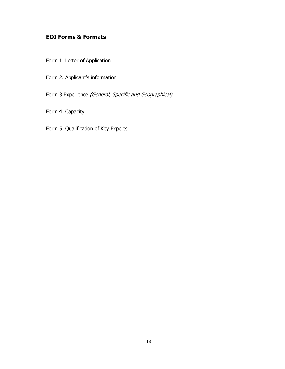## <span id="page-12-0"></span>**EOI Forms & Formats**

- Form 1. Letter of Application
- Form 2. Applicant's information

Form 3.Experience (General, Specific and Geographical)

Form 4. Capacity

Form 5. Qualification of Key Experts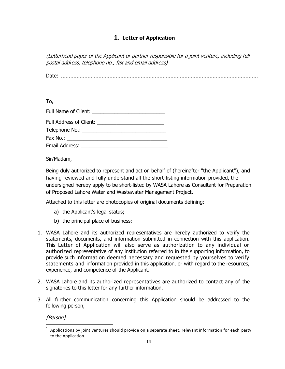## **1. Letter of Application**

<span id="page-13-0"></span>(Letterhead paper of the Applicant or partner responsible for a joint venture, including full postal address, telephone no., fax and email address)

Date: ..............................................................................................................................

To,

| Email Address: The Contract of the Contract of the Contract of the Contract of the Contract of the Contract of the Contract of the Contract of the Contract of the Contract of the Contract of the Contract of the Contract of |  |  |  |
|--------------------------------------------------------------------------------------------------------------------------------------------------------------------------------------------------------------------------------|--|--|--|

Sir/Madam,

Being duly authorized to represent and act on behalf of (hereinafter "the Applicant"), and having reviewed and fully understand all the short-listing information provided, the undersigned hereby apply to be short-listed by WASA Lahore as Consultant for Preparation of Proposed Lahore Water and Wastewater Management Project**.** 

Attached to this letter are photocopies of original documents defining:

- a) the Applicant's legal status;
- b) the principal place of business;
- 1. WASA Lahore and its authorized representatives are hereby authorized to verify the statements, documents, and information submitted in connection with this application. This Letter of Application will also serve as authorization to any individual or authorized representative of any institution referred to in the supporting information, to provide such information deemed necessary and requested by yourselves to verify statements and information provided in this application, or with regard to the resources, experience, and competence of the Applicant.
- 2. WASA Lahore and its authorized representatives are authorized to contact any of the signatories to this letter for any further information. $<sup>1</sup>$ </sup>
- 3. All further communication concerning this Application should be addressed to the following person,

[Person]

l 1 Applications by joint ventures should provide on a separate sheet, relevant information for each party to the Application.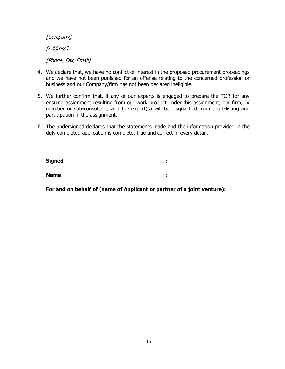[Company]

[Address]

[Phone, Fax, Email]

- 4. We declare that, we have no conflict of interest in the proposed procurement proceedings and we have not been punished for an offense relating to the concerned profession or business and our Company/firm has not been declared ineligible.
- 5. We further confirm that, if any of our experts is engaged to prepare the TOR for any ensuing assignment resulting from our work product under this assignment, our firm, JV member or sub-consultant, and the expert(s) will be disqualified from short-listing and participation in the assignment.
- 6. The undersigned declares that the statements made and the information provided in the duly completed application is complete, true and correct in every detail.

| Signed      | ٠      |  |
|-------------|--------|--|
| <b>Name</b> | ٠<br>٠ |  |

**For and on behalf of (name of Applicant or partner of a joint venture):**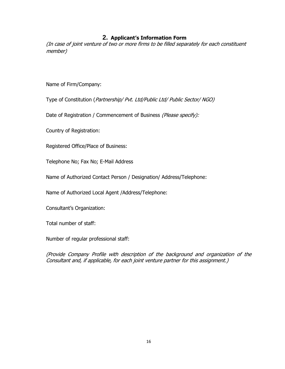#### **2. Applicant's Information Form**

<span id="page-15-0"></span>(In case of joint venture of two or more firms to be filled separately for each constituent member)

Name of Firm/Company:

Type of Constitution (Partnership/ Pvt. Ltd/Public Ltd/ Public Sector/ NGO)

Date of Registration / Commencement of Business (Please specify):

Country of Registration:

5. Registered Office/Place of Business:

Telephone No; Fax No; E-Mail Address

Name of Authorized Contact Person / Designation/ Address/Telephone:

Name of Authorized Local Agent /Address/Telephone:

Consultant's Organization:

Total number of staff:

Number of regular professional staff:

(Provide Company Profile with description of the background and organization of the Consultant and, if applicable, for each joint venture partner for this assignment.)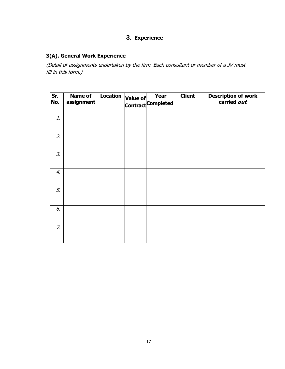## **3. Experience**

## <span id="page-16-0"></span>**3(A). General Work Experience**

(Detail of assignments undertaken by the firm. Each consultant or member of a JV must fill in this form.)

| Sr.<br>No.      | <b>Name of</b><br>assignment | <b>Location</b> | <b>Year</b><br>Value of Tear<br>Contract Completed | <b>Client</b> | <b>Description of work</b><br>carried out |
|-----------------|------------------------------|-----------------|----------------------------------------------------|---------------|-------------------------------------------|
| 1.              |                              |                 |                                                    |               |                                           |
| 2.              |                              |                 |                                                    |               |                                           |
| $\mathcal{Z}$ . |                              |                 |                                                    |               |                                           |
| 4.              |                              |                 |                                                    |               |                                           |
| 5.              |                              |                 |                                                    |               |                                           |
| 6.              |                              |                 |                                                    |               |                                           |
| $Z_{\rm c}$     |                              |                 |                                                    |               |                                           |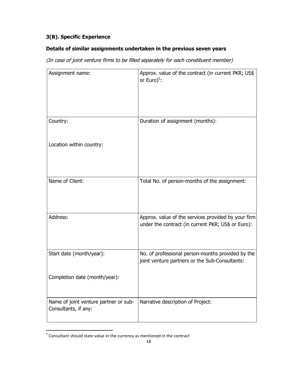## **3(B). Specific Experience**

### **Details of similar assignments undertaken in the previous seven years**

(In case of joint venture firms to be filled separately for each constituent member)

| Assignment name:                                              | Approx. value of the contract (in current PKR; US\$<br>or Euro) <sup>2</sup> :                            |
|---------------------------------------------------------------|-----------------------------------------------------------------------------------------------------------|
| Country:                                                      | Duration of assignment (months):                                                                          |
| Location within country:                                      |                                                                                                           |
| Name of Client:                                               | Total No. of person-months of the assignment:                                                             |
| Address:                                                      | Approx. value of the services provided by your firm<br>under the contract (in current PKR; US\$ or Euro): |
| Start date (month/year):                                      | No. of professional person-months provided by the<br>joint venture partners or the Sub-Consultants:       |
| Completion date (month/year):                                 |                                                                                                           |
| Name of joint venture partner or sub-<br>Consultants, if any: | Narrative description of Project:                                                                         |

 2 Consultant should state value in the currency as mentioned in the contract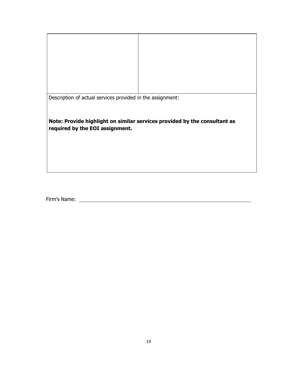| Description of actual services provided in the assignment:                                                   |  |  |
|--------------------------------------------------------------------------------------------------------------|--|--|
| Note: Provide highlight on similar services provided by the consultant as<br>required by the EOI assignment. |  |  |

Firm's Name: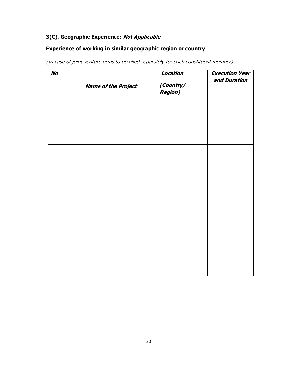## **3(C). Geographic Experience: Not Applicable**

#### **Experience of working in similar geographic region or country**

(In case of joint venture firms to be filled separately for each constituent member)

| <b>No</b> | <b>Name of the Project</b> | Location<br>(Country/<br><b>Region)</b> | <b>Execution Year</b><br>and Duration |
|-----------|----------------------------|-----------------------------------------|---------------------------------------|
|           |                            |                                         |                                       |
|           |                            |                                         |                                       |
|           |                            |                                         |                                       |
|           |                            |                                         |                                       |
|           |                            |                                         |                                       |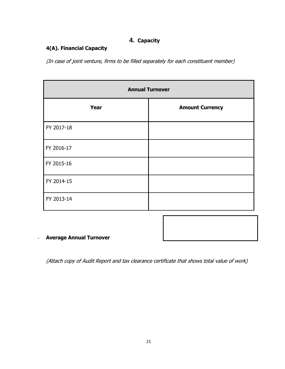## **4. Capacity**

## <span id="page-20-0"></span>**4(A). Financial Capacity**

(In case of joint venture, firms to be filled separately for each constituent member)

| <b>Annual Turnover</b> |                        |  |  |  |  |
|------------------------|------------------------|--|--|--|--|
| Year                   | <b>Amount Currency</b> |  |  |  |  |
| FY 2017-18             |                        |  |  |  |  |
| FY 2016-17             |                        |  |  |  |  |
| FY 2015-16             |                        |  |  |  |  |
| FY 2014-15             |                        |  |  |  |  |
| FY 2013-14             |                        |  |  |  |  |

## - **Average Annual Turnover**

(Attach copy of Audit Report and tax clearance certificate that shows total value of work)